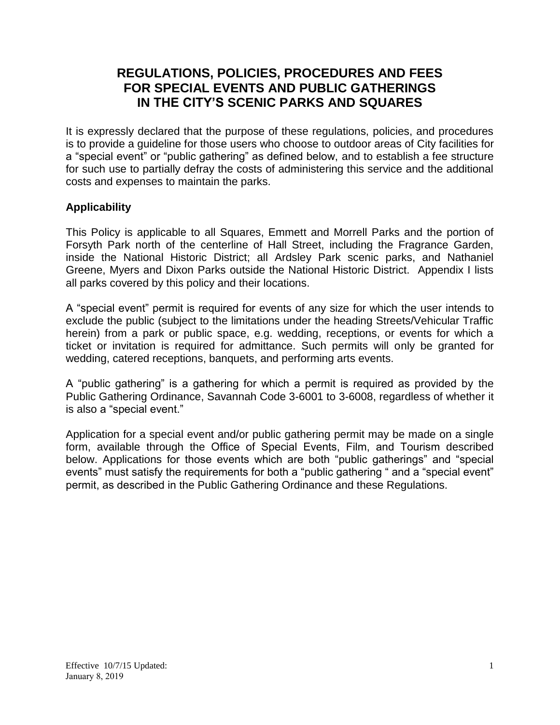# **REGULATIONS, POLICIES, PROCEDURES AND FEES FOR SPECIAL EVENTS AND PUBLIC GATHERINGS IN THE CITY'S SCENIC PARKS AND SQUARES**

It is expressly declared that the purpose of these regulations, policies, and procedures is to provide a guideline for those users who choose to outdoor areas of City facilities for a "special event" or "public gathering" as defined below, and to establish a fee structure for such use to partially defray the costs of administering this service and the additional costs and expenses to maintain the parks.

## **Applicability**

This Policy is applicable to all Squares, Emmett and Morrell Parks and the portion of Forsyth Park north of the centerline of Hall Street, including the Fragrance Garden, inside the National Historic District; all Ardsley Park scenic parks, and Nathaniel Greene, Myers and Dixon Parks outside the National Historic District. Appendix I lists all parks covered by this policy and their locations.

A "special event" permit is required for events of any size for which the user intends to exclude the public (subject to the limitations under the heading Streets/Vehicular Traffic herein) from a park or public space, e.g. wedding, receptions, or events for which a ticket or invitation is required for admittance. Such permits will only be granted for wedding, catered receptions, banquets, and performing arts events.

A "public gathering" is a gathering for which a permit is required as provided by the Public Gathering Ordinance, Savannah Code 3-6001 to 3-6008, regardless of whether it is also a "special event."

Application for a special event and/or public gathering permit may be made on a single form, available through the Office of Special Events, Film, and Tourism described below. Applications for those events which are both "public gatherings" and "special events" must satisfy the requirements for both a "public gathering " and a "special event" permit, as described in the Public Gathering Ordinance and these Regulations.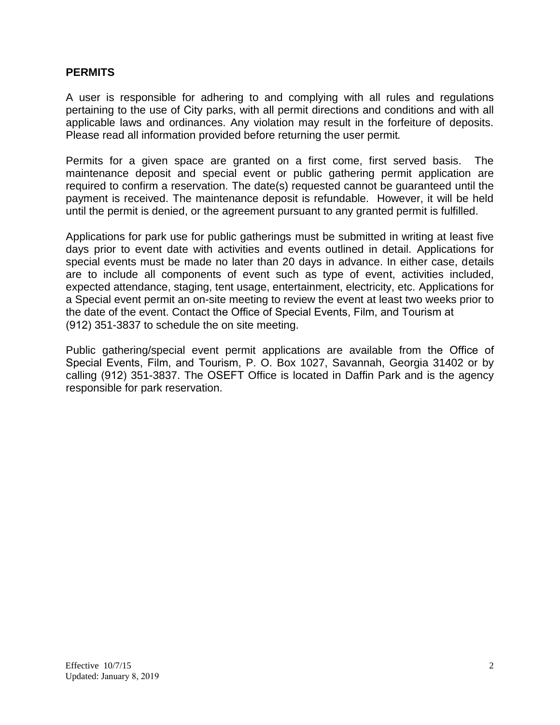#### **PERMITS**

A user is responsible for adhering to and complying with all rules and regulations pertaining to the use of City parks, with all permit directions and conditions and with all applicable laws and ordinances. Any violation may result in the forfeiture of deposits. Please read all information provided before returning the user permit*.* 

Permits for a given space are granted on a first come, first served basis. The maintenance deposit and special event or public gathering permit application are required to confirm a reservation. The date(s) requested cannot be guaranteed until the payment is received. The maintenance deposit is refundable. However, it will be held until the permit is denied, or the agreement pursuant to any granted permit is fulfilled.

Applications for park use for public gatherings must be submitted in writing at least five days prior to event date with activities and events outlined in detail. Applications for special events must be made no later than 20 days in advance. In either case, details are to include all components of event such as type of event, activities included, expected attendance, staging, tent usage, entertainment, electricity, etc. Applications for a Special event permit an on-site meeting to review the event at least two weeks prior to the date of the event. Contact the Office of Special Events, Film, and Tourism at (912) 351-3837 to schedule the on site meeting.

Public gathering/special event permit applications are available from the Office of Special Events, Film, and Tourism, P. O. Box 1027, Savannah, Georgia 31402 or by calling (912) 351-3837. The OSEFT Office is located in Daffin Park and is the agency responsible for park reservation.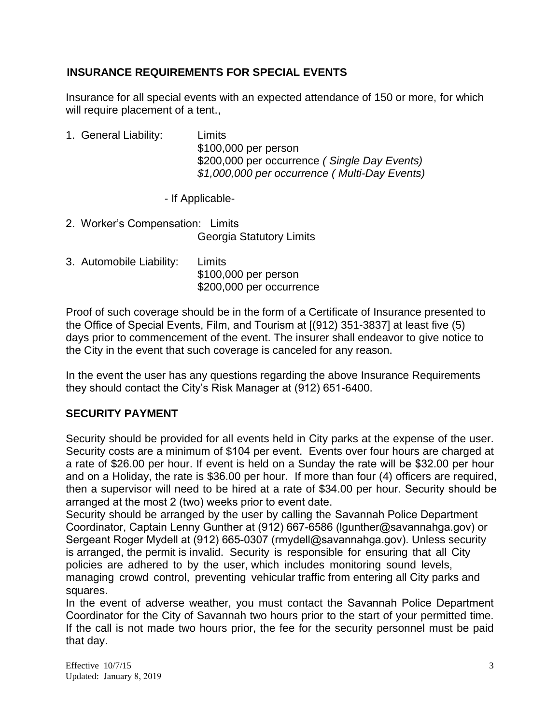## **INSURANCE REQUIREMENTS FOR SPECIAL EVENTS**

Insurance for all special events with an expected attendance of 150 or more, for which will require placement of a tent.,

1. General Liability: Limits \$100,000 per person \$200,000 per occurrence *( Single Day Events) \$1,000,000 per occurrence ( Multi-Day Events)*

- If Applicable-

- 2. Worker's Compensation: Limits Georgia Statutory Limits
- 3. Automobile Liability: Limits \$100,000 per person \$200,000 per occurrence

Proof of such coverage should be in the form of a Certificate of Insurance presented to the Office of Special Events, Film, and Tourism at [(912) 351-3837] at least five (5) days prior to commencement of the event. The insurer shall endeavor to give notice to the City in the event that such coverage is canceled for any reason.

In the event the user has any questions regarding the above Insurance Requirements they should contact the City's Risk Manager at (912) 651-6400.

## **SECURITY PAYMENT**

Security should be provided for all events held in City parks at the expense of the user. Security costs are a minimum of \$104 per event. Events over four hours are charged at a rate of \$26.00 per hour. If event is held on a Sunday the rate will be \$32.00 per hour and on a Holiday, the rate is \$36.00 per hour. If more than four (4) officers are required, then a supervisor will need to be hired at a rate of \$34.00 per hour. Security should be arranged at the most 2 (two) weeks prior to event date.

Security should be arranged by the user by calling the Savannah Police Department Coordinator, Captain Lenny Gunther at (912) 667-6586 (lgunther@savannahga.gov) or Sergeant Roger Mydell at (912) 665-0307 (rmydell@savannahga.gov). Unless security is arranged, the permit is invalid. Security is responsible for ensuring that all City policies are adhered to by the user, which includes monitoring sound levels, managing crowd control, preventing vehicular traffic from entering all City parks and squares.

In the event of adverse weather, you must contact the Savannah Police Department Coordinator for the City of Savannah two hours prior to the start of your permitted time. If the call is not made two hours prior, the fee for the security personnel must be paid that day.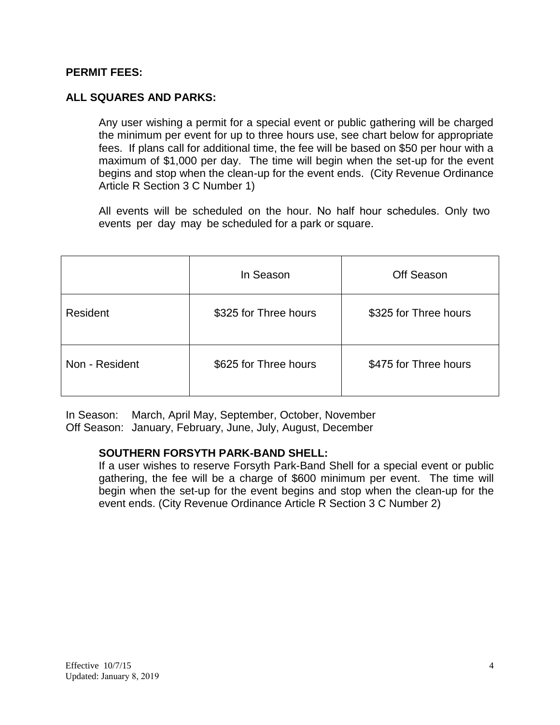## **PERMIT FEES:**

## **ALL SQUARES AND PARKS:**

Any user wishing a permit for a special event or public gathering will be charged the minimum per event for up to three hours use, see chart below for appropriate fees. If plans call for additional time, the fee will be based on \$50 per hour with a maximum of \$1,000 per day. The time will begin when the set-up for the event begins and stop when the clean-up for the event ends. (City Revenue Ordinance Article R Section 3 C Number 1)

All events will be scheduled on the hour. No half hour schedules. Only two events per day may be scheduled for a park or square.

|                | In Season             | <b>Off Season</b>     |  |
|----------------|-----------------------|-----------------------|--|
| Resident       | \$325 for Three hours | \$325 for Three hours |  |
| Non - Resident | \$625 for Three hours | \$475 for Three hours |  |

In Season: March, April May, September, October, November Off Season: January, February, June, July, August, December

## **SOUTHERN FORSYTH PARK-BAND SHELL:**

If a user wishes to reserve Forsyth Park-Band Shell for a special event or public gathering, the fee will be a charge of \$600 minimum per event. The time will begin when the set-up for the event begins and stop when the clean-up for the event ends. (City Revenue Ordinance Article R Section 3 C Number 2)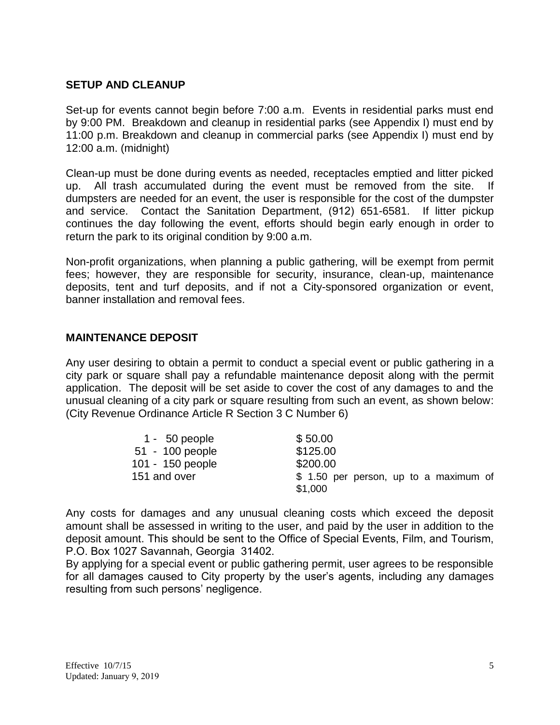## **SETUP AND CLEANUP**

Set-up for events cannot begin before 7:00 a.m. Events in residential parks must end by 9:00 PM. Breakdown and cleanup in residential parks (see Appendix I) must end by 11:00 p.m. Breakdown and cleanup in commercial parks (see Appendix I) must end by 12:00 a.m. (midnight)

Clean-up must be done during events as needed, receptacles emptied and litter picked up. All trash accumulated during the event must be removed from the site. dumpsters are needed for an event, the user is responsible for the cost of the dumpster and service. Contact the Sanitation Department, (912) 651-6581. If litter pickup continues the day following the event, efforts should begin early enough in order to return the park to its original condition by 9:00 a.m.

Non-profit organizations, when planning a public gathering, will be exempt from permit fees; however, they are responsible for security, insurance, clean-up, maintenance deposits, tent and turf deposits, and if not a City-sponsored organization or event, banner installation and removal fees.

#### **MAINTENANCE DEPOSIT**

Any user desiring to obtain a permit to conduct a special event or public gathering in a city park or square shall pay a refundable maintenance deposit along with the permit application. The deposit will be set aside to cover the cost of any damages to and the unusual cleaning of a city park or square resulting from such an event, as shown below: (City Revenue Ordinance Article R Section 3 C Number 6)

| $1 - 50$ people  | \$50.00                                |
|------------------|----------------------------------------|
| 51 - 100 people  | \$125.00                               |
| 101 - 150 people | \$200.00                               |
| 151 and over     | \$ 1.50 per person, up to a maximum of |
|                  | \$1,000                                |

Any costs for damages and any unusual cleaning costs which exceed the deposit amount shall be assessed in writing to the user, and paid by the user in addition to the deposit amount. This should be sent to the Office of Special Events, Film, and Tourism, P.O. Box 1027 Savannah, Georgia 31402.

By applying for a special event or public gathering permit, user agrees to be responsible for all damages caused to City property by the user's agents, including any damages resulting from such persons' negligence.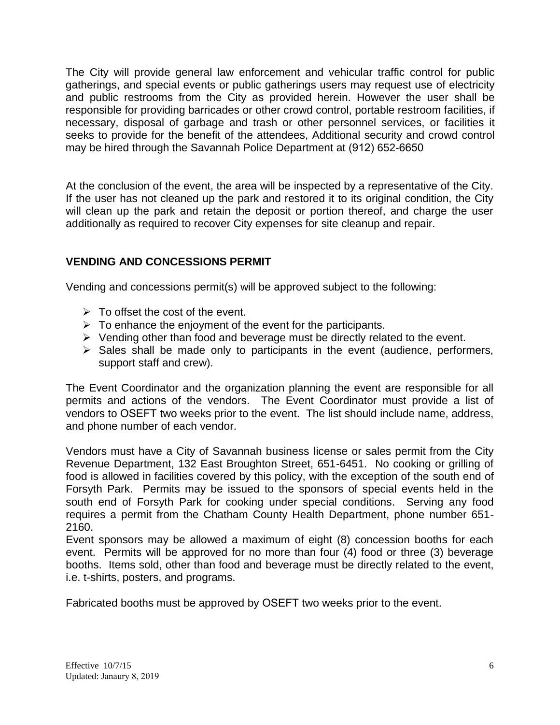The City will provide general law enforcement and vehicular traffic control for public gatherings, and special events or public gatherings users may request use of electricity and public restrooms from the City as provided herein. However the user shall be responsible for providing barricades or other crowd control, portable restroom facilities, if necessary, disposal of garbage and trash or other personnel services, or facilities it seeks to provide for the benefit of the attendees, Additional security and crowd control may be hired through the Savannah Police Department at (912) 652-6650

At the conclusion of the event, the area will be inspected by a representative of the City. If the user has not cleaned up the park and restored it to its original condition, the City will clean up the park and retain the deposit or portion thereof, and charge the user additionally as required to recover City expenses for site cleanup and repair.

## **VENDING AND CONCESSIONS PERMIT**

Vending and concessions permit(s) will be approved subject to the following:

- $\triangleright$  To offset the cost of the event.
- $\triangleright$  To enhance the enjoyment of the event for the participants.
- $\triangleright$  Vending other than food and beverage must be directly related to the event.
- $\triangleright$  Sales shall be made only to participants in the event (audience, performers, support staff and crew).

The Event Coordinator and the organization planning the event are responsible for all permits and actions of the vendors. The Event Coordinator must provide a list of vendors to OSEFT two weeks prior to the event. The list should include name, address, and phone number of each vendor.

Vendors must have a City of Savannah business license or sales permit from the City Revenue Department, 132 East Broughton Street, 651-6451. No cooking or grilling of food is allowed in facilities covered by this policy, with the exception of the south end of Forsyth Park. Permits may be issued to the sponsors of special events held in the south end of Forsyth Park for cooking under special conditions. Serving any food requires a permit from the Chatham County Health Department, phone number 651- 2160.

Event sponsors may be allowed a maximum of eight (8) concession booths for each event. Permits will be approved for no more than four (4) food or three (3) beverage booths. Items sold, other than food and beverage must be directly related to the event, i.e. t-shirts, posters, and programs.

Fabricated booths must be approved by OSEFT two weeks prior to the event.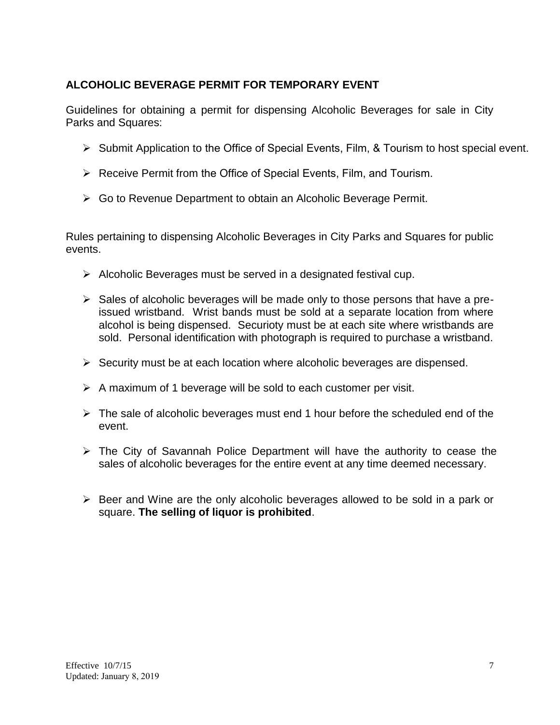## **ALCOHOLIC BEVERAGE PERMIT FOR TEMPORARY EVENT**

Guidelines for obtaining a permit for dispensing Alcoholic Beverages for sale in City Parks and Squares:

- $\triangleright$  Submit Application to the Office of Special Events, Film, & Tourism to host special event.
- ▶ Receive Permit from the Office of Special Events, Film, and Tourism.
- Go to Revenue Department to obtain an Alcoholic Beverage Permit.

Rules pertaining to dispensing Alcoholic Beverages in City Parks and Squares for public events.

- $\triangleright$  Alcoholic Beverages must be served in a designated festival cup.
- $\triangleright$  Sales of alcoholic beverages will be made only to those persons that have a preissued wristband. Wrist bands must be sold at a separate location from where alcohol is being dispensed. Securioty must be at each site where wristbands are sold. Personal identification with photograph is required to purchase a wristband.
- $\triangleright$  Security must be at each location where alcoholic beverages are dispensed.
- $\triangleright$  A maximum of 1 beverage will be sold to each customer per visit.
- $\triangleright$  The sale of alcoholic beverages must end 1 hour before the scheduled end of the event.
- $\triangleright$  The City of Savannah Police Department will have the authority to cease the sales of alcoholic beverages for the entire event at any time deemed necessary.
- $\triangleright$  Beer and Wine are the only alcoholic beverages allowed to be sold in a park or square. **The selling of liquor is prohibited**.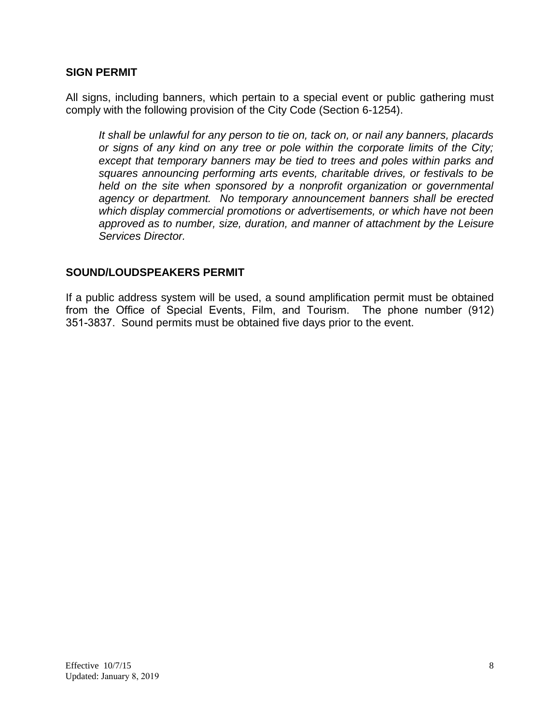#### **SIGN PERMIT**

All signs, including banners, which pertain to a special event or public gathering must comply with the following provision of the City Code (Section 6-1254).

*It shall be unlawful for any person to tie on, tack on, or nail any banners, placards or signs of any kind on any tree or pole within the corporate limits of the City; except that temporary banners may be tied to trees and poles within parks and squares announcing performing arts events, charitable drives, or festivals to be held on the site when sponsored by a nonprofit organization or governmental agency or department. No temporary announcement banners shall be erected which display commercial promotions or advertisements, or which have not been approved as to number, size, duration, and manner of attachment by the Leisure Services Director.*

#### **SOUND/LOUDSPEAKERS PERMIT**

If a public address system will be used, a sound amplification permit must be obtained from the Office of Special Events, Film, and Tourism. The phone number (912) 351-3837. Sound permits must be obtained five days prior to the event.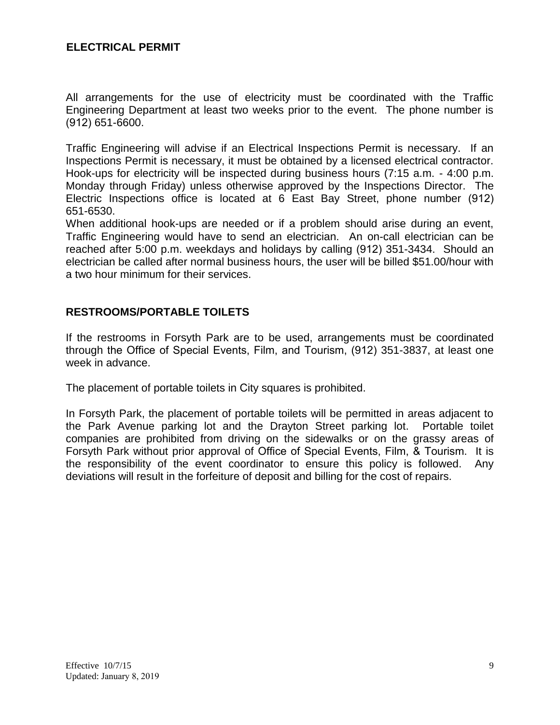## **ELECTRICAL PERMIT**

All arrangements for the use of electricity must be coordinated with the Traffic Engineering Department at least two weeks prior to the event. The phone number is (912) 651-6600.

Traffic Engineering will advise if an Electrical Inspections Permit is necessary. If an Inspections Permit is necessary, it must be obtained by a licensed electrical contractor. Hook-ups for electricity will be inspected during business hours (7:15 a.m. - 4:00 p.m. Monday through Friday) unless otherwise approved by the Inspections Director. The Electric Inspections office is located at 6 East Bay Street, phone number (912) 651-6530.

When additional hook-ups are needed or if a problem should arise during an event, Traffic Engineering would have to send an electrician. An on-call electrician can be reached after 5:00 p.m. weekdays and holidays by calling (912) 351-3434. Should an electrician be called after normal business hours, the user will be billed \$51.00/hour with a two hour minimum for their services.

## **RESTROOMS/PORTABLE TOILETS**

If the restrooms in Forsyth Park are to be used, arrangements must be coordinated through the Office of Special Events, Film, and Tourism, (912) 351-3837, at least one week in advance.

The placement of portable toilets in City squares is prohibited.

In Forsyth Park, the placement of portable toilets will be permitted in areas adjacent to the Park Avenue parking lot and the Drayton Street parking lot. Portable toilet companies are prohibited from driving on the sidewalks or on the grassy areas of Forsyth Park without prior approval of Office of Special Events, Film, & Tourism. It is the responsibility of the event coordinator to ensure this policy is followed. Any deviations will result in the forfeiture of deposit and billing for the cost of repairs.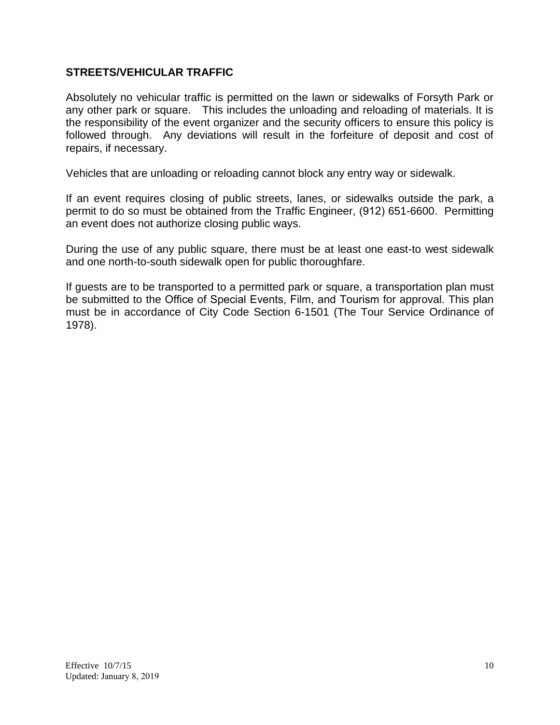## **STREETS/VEHICULAR TRAFFIC**

Absolutely no vehicular traffic is permitted on the lawn or sidewalks of Forsyth Park or any other park or square. This includes the unloading and reloading of materials. It is the responsibility of the event organizer and the security officers to ensure this policy is followed through. Any deviations will result in the forfeiture of deposit and cost of repairs, if necessary.

Vehicles that are unloading or reloading cannot block any entry way or sidewalk.

If an event requires closing of public streets, lanes, or sidewalks outside the park, a permit to do so must be obtained from the Traffic Engineer, (912) 651-6600. Permitting an event does not authorize closing public ways.

During the use of any public square, there must be at least one east-to west sidewalk and one north-to-south sidewalk open for public thoroughfare.

If guests are to be transported to a permitted park or square, a transportation plan must be submitted to the Office of Special Events, Film, and Tourism for approval. This plan must be in accordance of City Code Section 6-1501 (The Tour Service Ordinance of 1978).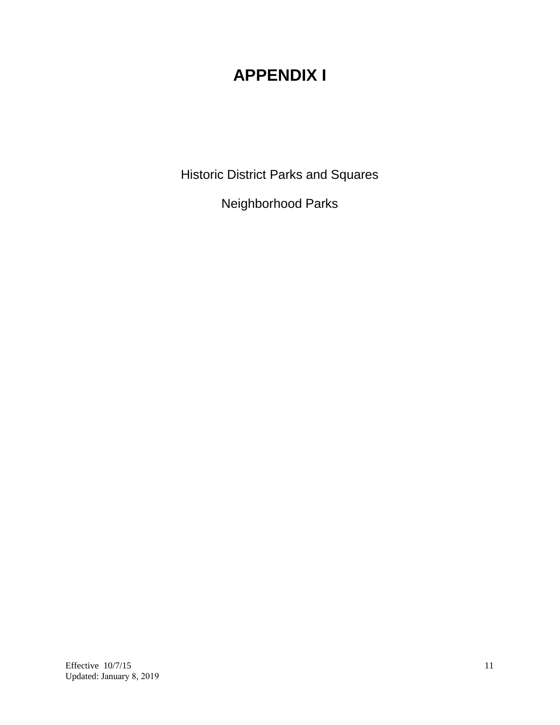# **APPENDIX I**

Historic District Parks and Squares

Neighborhood Parks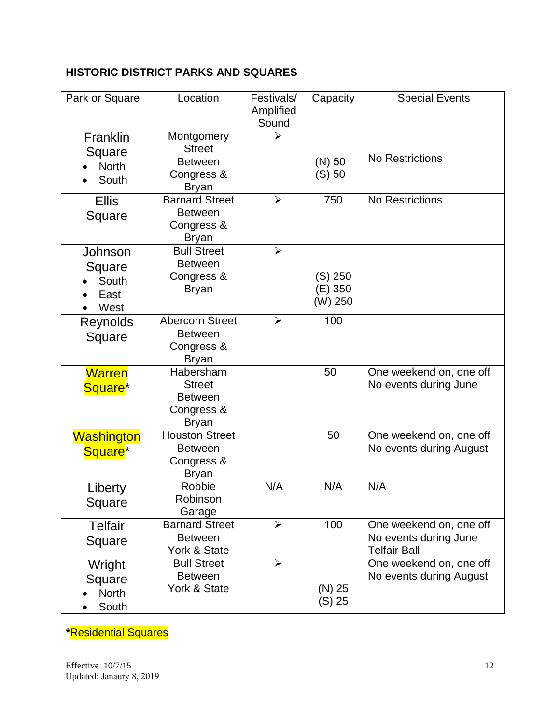## **HISTORIC DISTRICT PARKS AND SQUARES**

| Park or Square                              | Location                                                                    | Festivals/<br>Amplified<br>Sound | Capacity                      | <b>Special Events</b>                                                   |  |
|---------------------------------------------|-----------------------------------------------------------------------------|----------------------------------|-------------------------------|-------------------------------------------------------------------------|--|
| Franklin<br>Square<br><b>North</b><br>South | Montgomery<br><b>Street</b><br><b>Between</b><br>Congress &<br><b>Bryan</b> | $\blacktriangleright$            | $(N)$ 50<br>(S) 50            | No Restrictions                                                         |  |
| <b>Ellis</b><br>Square                      | <b>Barnard Street</b><br><b>Between</b><br>Congress &<br><b>Bryan</b>       | ➤                                | 750                           | <b>No Restrictions</b>                                                  |  |
| Johnson<br>Square<br>South<br>East<br>West  | <b>Bull Street</b><br><b>Between</b><br>Congress &<br><b>Bryan</b>          | $\blacktriangleright$            | (S) 250<br>(E) 350<br>(W) 250 |                                                                         |  |
| Reynolds<br>Square                          | <b>Abercorn Street</b><br><b>Between</b><br>Congress &<br><b>Bryan</b>      | $\blacktriangleright$            | 100                           |                                                                         |  |
| <b>Warren</b><br>Square <sup>*</sup>        | Habersham<br><b>Street</b><br><b>Between</b><br>Congress &<br><b>Bryan</b>  |                                  | 50                            | One weekend on, one off<br>No events during June                        |  |
| Washington<br>Square <sup>*</sup>           | <b>Houston Street</b><br><b>Between</b><br>Congress &<br><b>Bryan</b>       |                                  | 50                            | One weekend on, one off<br>No events during August                      |  |
| Liberty<br>Square                           | Robbie<br>Robinson<br>Garage                                                | N/A                              | N/A                           | N/A                                                                     |  |
| <b>Telfair</b><br>Square                    | <b>Barnard Street</b><br><b>Between</b><br>York & State                     | $\blacktriangleright$            | 100                           | One weekend on, one off<br>No events during June<br><b>Telfair Ball</b> |  |
| Wright<br>Square<br><b>North</b><br>South   | <b>Bull Street</b><br><b>Between</b><br>York & State                        | $\blacktriangleright$            | $(N)$ 25<br>$(S)$ 25          | One weekend on, one off<br>No events during August                      |  |

**\***Residential Squares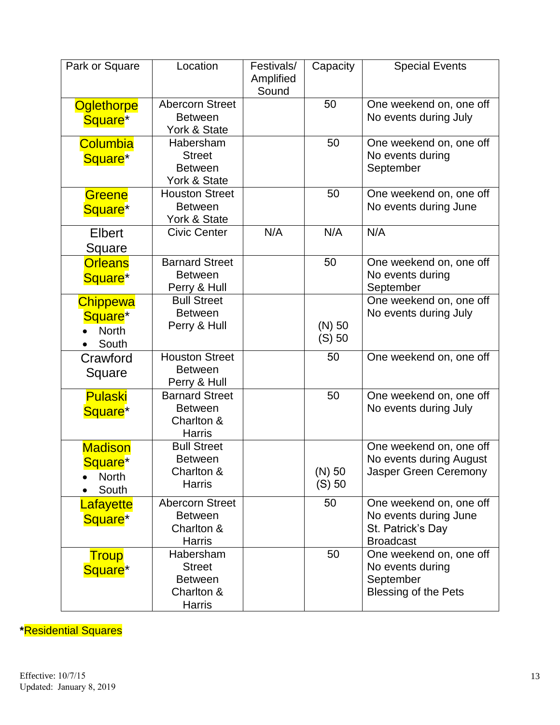| Park or Square                                                  | Location                                                                    | Festivals/<br>Amplified<br>Sound | Capacity           | <b>Special Events</b>                                                                     |  |
|-----------------------------------------------------------------|-----------------------------------------------------------------------------|----------------------------------|--------------------|-------------------------------------------------------------------------------------------|--|
| <b>Oglethorpe</b><br>Square <sup>*</sup>                        | <b>Abercorn Street</b><br><b>Between</b><br>York & State                    |                                  | 50                 | One weekend on, one off<br>No events during July                                          |  |
| Columbia<br>Square <sup>*</sup>                                 | Habersham<br><b>Street</b><br><b>Between</b><br>York & State                |                                  | 50                 | One weekend on, one off<br>No events during<br>September                                  |  |
| Greene<br>Square <sup>*</sup>                                   | <b>Houston Street</b><br><b>Between</b><br>York & State                     |                                  | 50                 | One weekend on, one off<br>No events during June                                          |  |
| Elbert<br>Square                                                | <b>Civic Center</b>                                                         | N/A                              | N/A                | N/A                                                                                       |  |
| <b>Orleans</b><br>Square <sup>*</sup>                           | <b>Barnard Street</b><br><b>Between</b><br>Perry & Hull                     |                                  | 50                 | One weekend on, one off<br>No events during<br>September                                  |  |
| <b>Chippewa</b><br>Square <sup>*</sup><br><b>North</b><br>South | <b>Bull Street</b><br><b>Between</b><br>Perry & Hull                        |                                  | $(N)$ 50<br>(S) 50 | One weekend on, one off<br>No events during July                                          |  |
| Crawford<br>Square                                              | <b>Houston Street</b><br><b>Between</b><br>Perry & Hull                     |                                  | 50                 | One weekend on, one off                                                                   |  |
| <b>Pulaski</b><br>Square <sup>*</sup>                           | <b>Barnard Street</b><br><b>Between</b><br>Charlton &<br><b>Harris</b>      |                                  | 50                 | One weekend on, one off<br>No events during July                                          |  |
| <b>Madison</b><br>Square*<br><b>North</b><br>South              | <b>Bull Street</b><br><b>Between</b><br>Charlton &<br><b>Harris</b>         |                                  | $(N)$ 50<br>(S) 50 | One weekend on, one off<br>No events during August<br>Jasper Green Ceremony               |  |
| Lafayette<br>Square <sup>*</sup>                                | <b>Abercorn Street</b><br><b>Between</b><br>Charlton &<br><b>Harris</b>     |                                  | 50                 | One weekend on, one off<br>No events during June<br>St. Patrick's Day<br><b>Broadcast</b> |  |
| <b>Troup</b><br>Square <sup>*</sup>                             | Habersham<br><b>Street</b><br><b>Between</b><br>Charlton &<br><b>Harris</b> |                                  | 50                 | One weekend on, one off<br>No events during<br>September<br><b>Blessing of the Pets</b>   |  |

**\***Residential Squares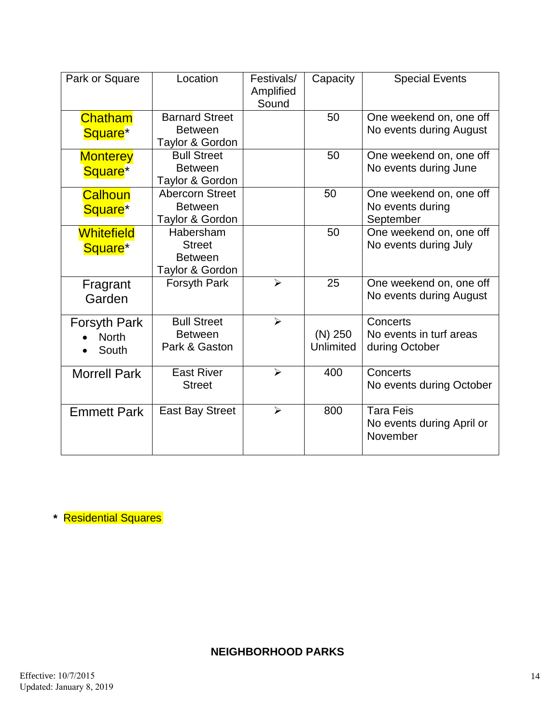| Park or Square                               | Location                                                        | Festivals/<br>Amplified<br>Sound | Capacity               | <b>Special Events</b>                                     |  |
|----------------------------------------------|-----------------------------------------------------------------|----------------------------------|------------------------|-----------------------------------------------------------|--|
| <b>Chatham</b><br>Square <sup>*</sup>        | <b>Barnard Street</b><br><b>Between</b><br>Taylor & Gordon      |                                  | 50                     | One weekend on, one off<br>No events during August        |  |
| <b>Monterey</b><br>Square <sup>*</sup>       | <b>Bull Street</b><br><b>Between</b><br>Taylor & Gordon         |                                  | 50                     | One weekend on, one off<br>No events during June          |  |
| Calhoun<br>Square <sup>*</sup>               | <b>Abercorn Street</b><br><b>Between</b><br>Taylor & Gordon     |                                  | 50                     | One weekend on, one off<br>No events during<br>September  |  |
| <b>Whitefield</b><br>Square <sup>*</sup>     | Habersham<br><b>Street</b><br><b>Between</b><br>Taylor & Gordon |                                  | 50                     | One weekend on, one off<br>No events during July          |  |
| Fragrant<br>Garden                           | Forsyth Park                                                    | ➤                                | 25                     | One weekend on, one off<br>No events during August        |  |
| <b>Forsyth Park</b><br><b>North</b><br>South | <b>Bull Street</b><br><b>Between</b><br>Park & Gaston           | $\blacktriangleright$            | $(N)$ 250<br>Unlimited | Concerts<br>No events in turf areas<br>during October     |  |
| <b>Morrell Park</b>                          | <b>East River</b><br><b>Street</b>                              | ➤                                | 400                    | Concerts<br>No events during October                      |  |
| <b>Emmett Park</b>                           | <b>East Bay Street</b>                                          | $\blacktriangleright$            | 800                    | <b>Tara Feis</b><br>No events during April or<br>November |  |

**\*** Residential Squares

**NEIGHBORHOOD PARKS**